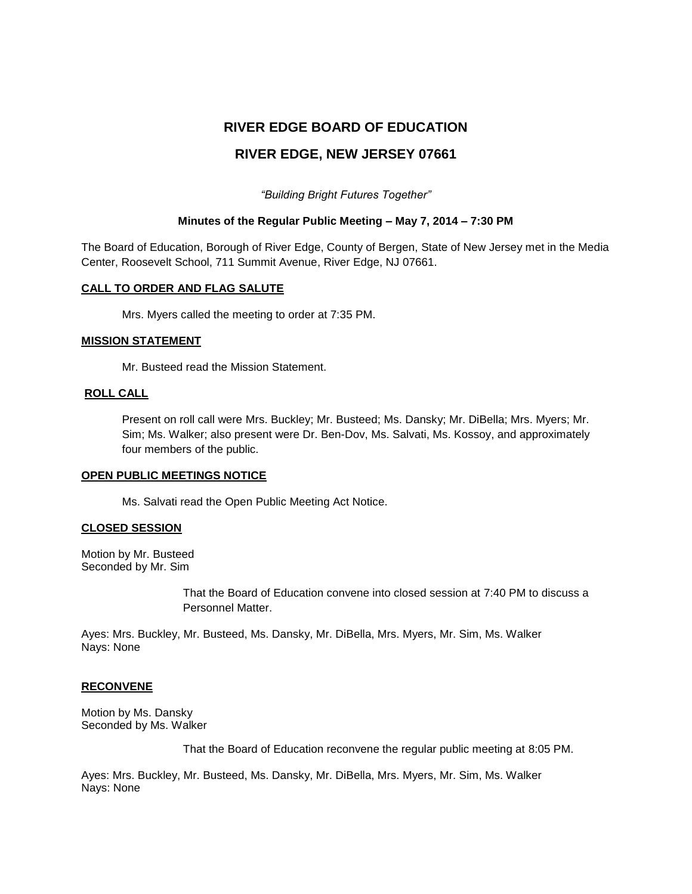# **RIVER EDGE BOARD OF EDUCATION**

# **RIVER EDGE, NEW JERSEY 07661**

*"Building Bright Futures Together"*

#### **Minutes of the Regular Public Meeting – May 7, 2014 – 7:30 PM**

The Board of Education, Borough of River Edge, County of Bergen, State of New Jersey met in the Media Center, Roosevelt School, 711 Summit Avenue, River Edge, NJ 07661.

#### **CALL TO ORDER AND FLAG SALUTE**

Mrs. Myers called the meeting to order at 7:35 PM.

#### **MISSION STATEMENT**

Mr. Busteed read the Mission Statement.

## **ROLL CALL**

Present on roll call were Mrs. Buckley; Mr. Busteed; Ms. Dansky; Mr. DiBella; Mrs. Myers; Mr. Sim; Ms. Walker; also present were Dr. Ben-Dov, Ms. Salvati, Ms. Kossoy, and approximately four members of the public.

#### **OPEN PUBLIC MEETINGS NOTICE**

Ms. Salvati read the Open Public Meeting Act Notice.

#### **CLOSED SESSION**

Motion by Mr. Busteed Seconded by Mr. Sim

> That the Board of Education convene into closed session at 7:40 PM to discuss a Personnel Matter.

Ayes: Mrs. Buckley, Mr. Busteed, Ms. Dansky, Mr. DiBella, Mrs. Myers, Mr. Sim, Ms. Walker Nays: None

#### **RECONVENE**

Motion by Ms. Dansky Seconded by Ms. Walker

That the Board of Education reconvene the regular public meeting at 8:05 PM.

Ayes: Mrs. Buckley, Mr. Busteed, Ms. Dansky, Mr. DiBella, Mrs. Myers, Mr. Sim, Ms. Walker Nays: None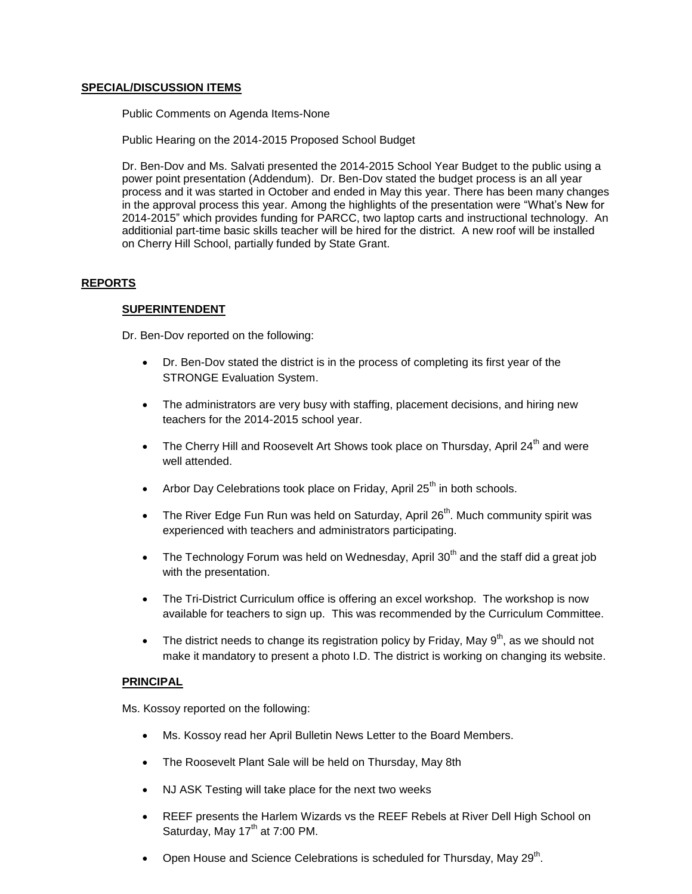## **SPECIAL/DISCUSSION ITEMS**

Public Comments on Agenda Items-None

Public Hearing on the 2014-2015 Proposed School Budget

Dr. Ben-Dov and Ms. Salvati presented the 2014-2015 School Year Budget to the public using a power point presentation (Addendum). Dr. Ben-Dov stated the budget process is an all year process and it was started in October and ended in May this year. There has been many changes in the approval process this year. Among the highlights of the presentation were "What's New for 2014-2015" which provides funding for PARCC, two laptop carts and instructional technology. An additionial part-time basic skills teacher will be hired for the district. A new roof will be installed on Cherry Hill School, partially funded by State Grant.

# **REPORTS**

#### **SUPERINTENDENT**

Dr. Ben-Dov reported on the following:

- Dr. Ben-Dov stated the district is in the process of completing its first year of the STRONGE Evaluation System.
- The administrators are very busy with staffing, placement decisions, and hiring new teachers for the 2014-2015 school year.
- The Cherry Hill and Roosevelt Art Shows took place on Thursday, April  $24<sup>th</sup>$  and were well attended.
- Arbor Day Celebrations took place on Friday, April 25<sup>th</sup> in both schools.
- The River Edge Fun Run was held on Saturday, April 26<sup>th</sup>. Much community spirit was experienced with teachers and administrators participating.
- The Technology Forum was held on Wednesday, April 30<sup>th</sup> and the staff did a great job with the presentation.
- The Tri-District Curriculum office is offering an excel workshop. The workshop is now available for teachers to sign up. This was recommended by the Curriculum Committee.
- The district needs to change its registration policy by Friday, May  $9<sup>th</sup>$ , as we should not make it mandatory to present a photo I.D. The district is working on changing its website.

#### **PRINCIPAL**

Ms. Kossoy reported on the following:

- Ms. Kossoy read her April Bulletin News Letter to the Board Members.
- The Roosevelt Plant Sale will be held on Thursday, May 8th
- NJ ASK Testing will take place for the next two weeks
- REEF presents the Harlem Wizards vs the REEF Rebels at River Dell High School on Saturday, May  $17<sup>th</sup>$  at 7:00 PM.
- Open House and Science Celebrations is scheduled for Thursday, May 29<sup>th</sup>.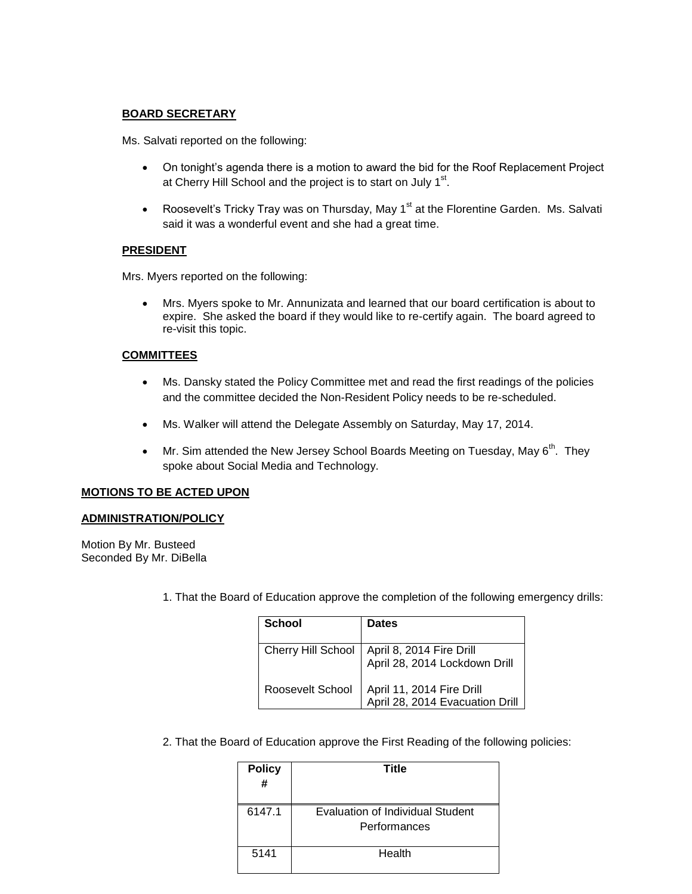## **BOARD SECRETARY**

Ms. Salvati reported on the following:

- On tonight's agenda there is a motion to award the bid for the Roof Replacement Project at Cherry Hill School and the project is to start on July 1<sup>st</sup>.
- Roosevelt's Tricky Tray was on Thursday, May  $1<sup>st</sup>$  at the Florentine Garden. Ms. Salvati said it was a wonderful event and she had a great time.

#### **PRESIDENT**

Mrs. Myers reported on the following:

 Mrs. Myers spoke to Mr. Annunizata and learned that our board certification is about to expire. She asked the board if they would like to re-certify again. The board agreed to re-visit this topic.

# **COMMITTEES**

- Ms. Dansky stated the Policy Committee met and read the first readings of the policies and the committee decided the Non-Resident Policy needs to be re-scheduled.
- Ms. Walker will attend the Delegate Assembly on Saturday, May 17, 2014.
- Mr. Sim attended the New Jersey School Boards Meeting on Tuesday, May  $6<sup>th</sup>$ . They spoke about Social Media and Technology.

#### **MOTIONS TO BE ACTED UPON**

## **ADMINISTRATION/POLICY**

Motion By Mr. Busteed Seconded By Mr. DiBella

1. That the Board of Education approve the completion of the following emergency drills:

| School                    | <b>Dates</b>                                                 |
|---------------------------|--------------------------------------------------------------|
| <b>Cherry Hill School</b> | April 8, 2014 Fire Drill<br>April 28, 2014 Lockdown Drill    |
| Roosevelt School          | April 11, 2014 Fire Drill<br>April 28, 2014 Evacuation Drill |

2. That the Board of Education approve the First Reading of the following policies:

| <b>Policy</b><br># | Title                                            |
|--------------------|--------------------------------------------------|
| 6147.1             | Evaluation of Individual Student<br>Performances |
| 5141               | Health                                           |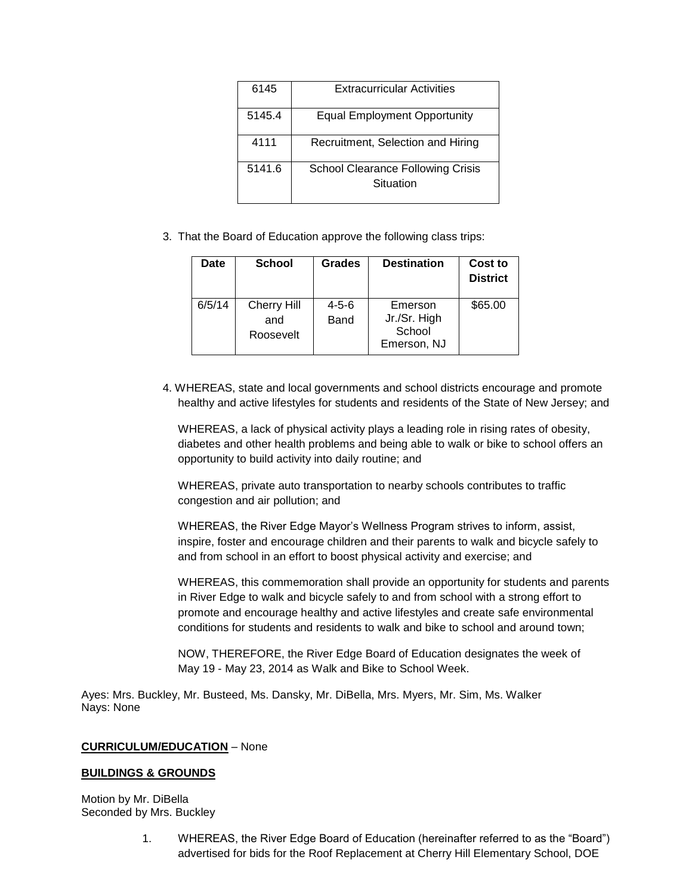| 6145   | <b>Extracurricular Activities</b>                     |  |
|--------|-------------------------------------------------------|--|
| 5145.4 | <b>Equal Employment Opportunity</b>                   |  |
| 4111   | Recruitment, Selection and Hiring                     |  |
| 5141.6 | <b>School Clearance Following Crisis</b><br>Situation |  |

3. That the Board of Education approve the following class trips:

| Date   | <b>School</b>                          | <b>Grades</b>       | <b>Destination</b>                               | Cost to<br><b>District</b> |
|--------|----------------------------------------|---------------------|--------------------------------------------------|----------------------------|
| 6/5/14 | <b>Cherry Hill</b><br>and<br>Roosevelt | $4 - 5 - 6$<br>Band | Emerson<br>Jr./Sr. High<br>School<br>Emerson, NJ | \$65.00                    |

4. WHEREAS, state and local governments and school districts encourage and promote healthy and active lifestyles for students and residents of the State of New Jersey; and

WHEREAS, a lack of physical activity plays a leading role in rising rates of obesity, diabetes and other health problems and being able to walk or bike to school offers an opportunity to build activity into daily routine; and

WHEREAS, private auto transportation to nearby schools contributes to traffic congestion and air pollution; and

WHEREAS, the River Edge Mayor's Wellness Program strives to inform, assist, inspire, foster and encourage children and their parents to walk and bicycle safely to and from school in an effort to boost physical activity and exercise; and

WHEREAS, this commemoration shall provide an opportunity for students and parents in River Edge to walk and bicycle safely to and from school with a strong effort to promote and encourage healthy and active lifestyles and create safe environmental conditions for students and residents to walk and bike to school and around town;

NOW, THEREFORE, the River Edge Board of Education designates the week of May 19 - May 23, 2014 as Walk and Bike to School Week.

Ayes: Mrs. Buckley, Mr. Busteed, Ms. Dansky, Mr. DiBella, Mrs. Myers, Mr. Sim, Ms. Walker Nays: None

#### **CURRICULUM/EDUCATION** – None

# **BUILDINGS & GROUNDS**

Motion by Mr. DiBella Seconded by Mrs. Buckley

> 1. WHEREAS, the River Edge Board of Education (hereinafter referred to as the "Board") advertised for bids for the Roof Replacement at Cherry Hill Elementary School, DOE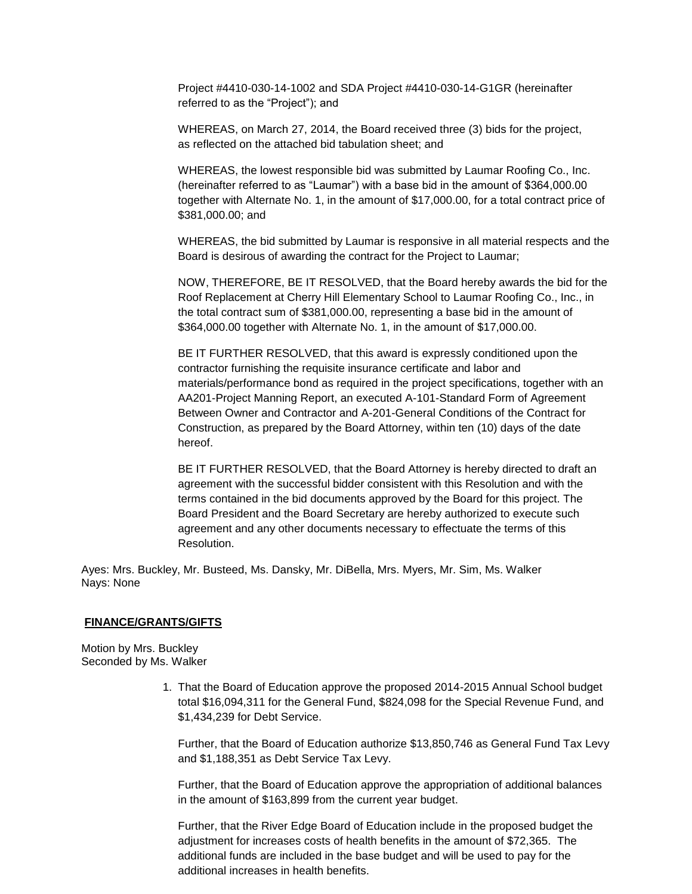Project #4410-030-14-1002 and SDA Project #4410-030-14-G1GR (hereinafter referred to as the "Project"); and

WHEREAS, on March 27, 2014, the Board received three (3) bids for the project, as reflected on the attached bid tabulation sheet; and

WHEREAS, the lowest responsible bid was submitted by Laumar Roofing Co., Inc. (hereinafter referred to as "Laumar") with a base bid in the amount of \$364,000.00 together with Alternate No. 1, in the amount of \$17,000.00, for a total contract price of \$381,000.00; and

WHEREAS, the bid submitted by Laumar is responsive in all material respects and the Board is desirous of awarding the contract for the Project to Laumar;

NOW, THEREFORE, BE IT RESOLVED, that the Board hereby awards the bid for the Roof Replacement at Cherry Hill Elementary School to Laumar Roofing Co., Inc., in the total contract sum of \$381,000.00, representing a base bid in the amount of \$364,000.00 together with Alternate No. 1, in the amount of \$17,000.00.

BE IT FURTHER RESOLVED, that this award is expressly conditioned upon the contractor furnishing the requisite insurance certificate and labor and materials/performance bond as required in the project specifications, together with an AA201-Project Manning Report, an executed A-101-Standard Form of Agreement Between Owner and Contractor and A-201-General Conditions of the Contract for Construction, as prepared by the Board Attorney, within ten (10) days of the date hereof.

BE IT FURTHER RESOLVED, that the Board Attorney is hereby directed to draft an agreement with the successful bidder consistent with this Resolution and with the terms contained in the bid documents approved by the Board for this project. The Board President and the Board Secretary are hereby authorized to execute such agreement and any other documents necessary to effectuate the terms of this Resolution.

Ayes: Mrs. Buckley, Mr. Busteed, Ms. Dansky, Mr. DiBella, Mrs. Myers, Mr. Sim, Ms. Walker Nays: None

#### **FINANCE/GRANTS/GIFTS**

Motion by Mrs. Buckley Seconded by Ms. Walker

> 1. That the Board of Education approve the proposed 2014-2015 Annual School budget total \$16,094,311 for the General Fund, \$824,098 for the Special Revenue Fund, and \$1,434,239 for Debt Service.

Further, that the Board of Education authorize \$13,850,746 as General Fund Tax Levy and \$1,188,351 as Debt Service Tax Levy.

Further, that the Board of Education approve the appropriation of additional balances in the amount of \$163,899 from the current year budget.

Further, that the River Edge Board of Education include in the proposed budget the adjustment for increases costs of health benefits in the amount of \$72,365. The additional funds are included in the base budget and will be used to pay for the additional increases in health benefits.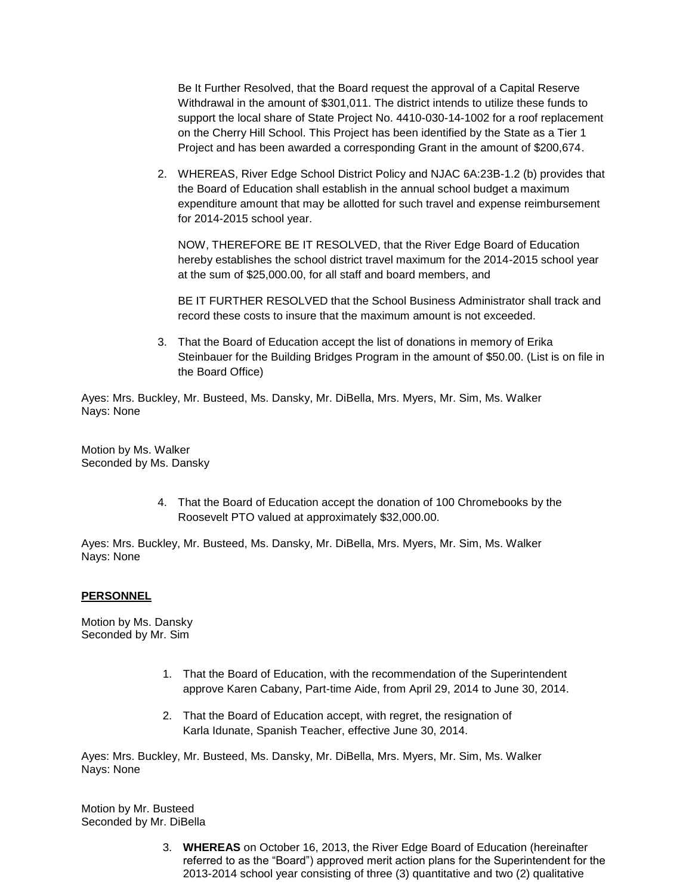Be It Further Resolved, that the Board request the approval of a Capital Reserve Withdrawal in the amount of \$301,011. The district intends to utilize these funds to support the local share of State Project No. 4410-030-14-1002 for a roof replacement on the Cherry Hill School. This Project has been identified by the State as a Tier 1 Project and has been awarded a corresponding Grant in the amount of \$200,674.

2. WHEREAS, River Edge School District Policy and NJAC 6A:23B-1.2 (b) provides that the Board of Education shall establish in the annual school budget a maximum expenditure amount that may be allotted for such travel and expense reimbursement for 2014-2015 school year.

NOW, THEREFORE BE IT RESOLVED, that the River Edge Board of Education hereby establishes the school district travel maximum for the 2014-2015 school year at the sum of \$25,000.00, for all staff and board members, and

BE IT FURTHER RESOLVED that the School Business Administrator shall track and record these costs to insure that the maximum amount is not exceeded.

3. That the Board of Education accept the list of donations in memory of Erika Steinbauer for the Building Bridges Program in the amount of \$50.00. (List is on file in the Board Office)

Ayes: Mrs. Buckley, Mr. Busteed, Ms. Dansky, Mr. DiBella, Mrs. Myers, Mr. Sim, Ms. Walker Nays: None

Motion by Ms. Walker Seconded by Ms. Dansky

> 4. That the Board of Education accept the donation of 100 Chromebooks by the Roosevelt PTO valued at approximately \$32,000.00.

Ayes: Mrs. Buckley, Mr. Busteed, Ms. Dansky, Mr. DiBella, Mrs. Myers, Mr. Sim, Ms. Walker Nays: None

#### **PERSONNEL**

Motion by Ms. Dansky Seconded by Mr. Sim

- 1. That the Board of Education, with the recommendation of the Superintendent approve Karen Cabany, Part-time Aide, from April 29, 2014 to June 30, 2014.
- 2. That the Board of Education accept, with regret, the resignation of Karla Idunate, Spanish Teacher, effective June 30, 2014.

Ayes: Mrs. Buckley, Mr. Busteed, Ms. Dansky, Mr. DiBella, Mrs. Myers, Mr. Sim, Ms. Walker Nays: None

Motion by Mr. Busteed Seconded by Mr. DiBella

> 3. **WHEREAS** on October 16, 2013, the River Edge Board of Education (hereinafter referred to as the "Board") approved merit action plans for the Superintendent for the 2013-2014 school year consisting of three (3) quantitative and two (2) qualitative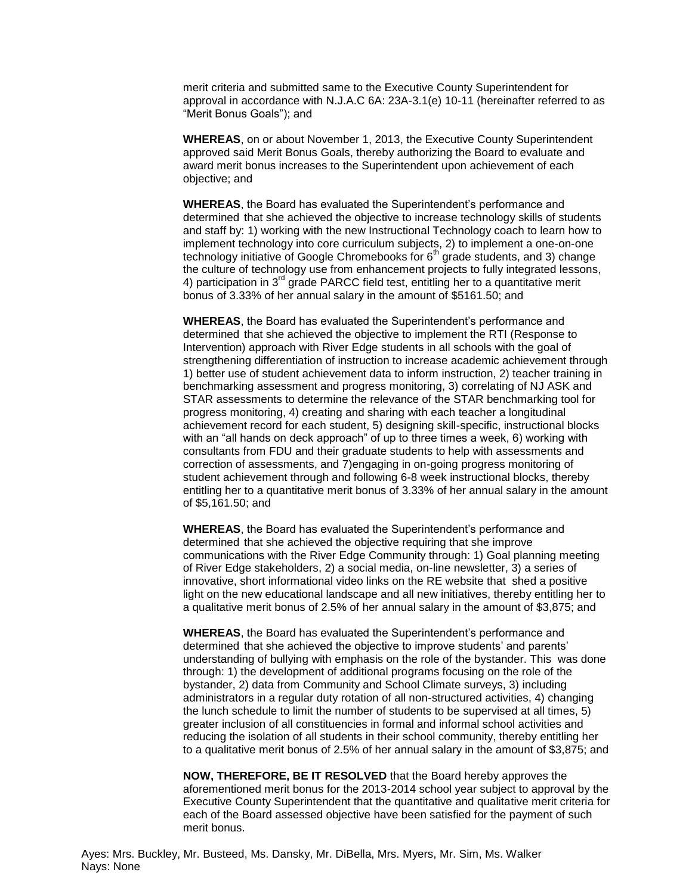merit criteria and submitted same to the Executive County Superintendent for approval in accordance with N.J.A.C 6A: 23A-3.1(e) 10-11 (hereinafter referred to as "Merit Bonus Goals"); and

**WHEREAS**, on or about November 1, 2013, the Executive County Superintendent approved said Merit Bonus Goals, thereby authorizing the Board to evaluate and award merit bonus increases to the Superintendent upon achievement of each objective; and

**WHEREAS**, the Board has evaluated the Superintendent's performance and determined that she achieved the objective to increase technology skills of students and staff by: 1) working with the new Instructional Technology coach to learn how to implement technology into core curriculum subjects, 2) to implement a one-on-one technology initiative of Google Chromebooks for  $6<sup>th</sup>$  grade students, and 3) change the culture of technology use from enhancement projects to fully integrated lessons, 4) participation in 3<sup>rd</sup> grade PARCC field test, entitling her to a quantitative merit bonus of 3.33% of her annual salary in the amount of \$5161.50; and

**WHEREAS**, the Board has evaluated the Superintendent's performance and determined that she achieved the objective to implement the RTI (Response to Intervention) approach with River Edge students in all schools with the goal of strengthening differentiation of instruction to increase academic achievement through 1) better use of student achievement data to inform instruction, 2) teacher training in benchmarking assessment and progress monitoring, 3) correlating of NJ ASK and STAR assessments to determine the relevance of the STAR benchmarking tool for progress monitoring, 4) creating and sharing with each teacher a longitudinal achievement record for each student, 5) designing skill-specific, instructional blocks with an "all hands on deck approach" of up to three times a week, 6) working with consultants from FDU and their graduate students to help with assessments and correction of assessments, and 7)engaging in on-going progress monitoring of student achievement through and following 6-8 week instructional blocks, thereby entitling her to a quantitative merit bonus of 3.33% of her annual salary in the amount of \$5,161.50; and

**WHEREAS**, the Board has evaluated the Superintendent's performance and determined that she achieved the objective requiring that she improve communications with the River Edge Community through: 1) Goal planning meeting of River Edge stakeholders, 2) a social media, on-line newsletter, 3) a series of innovative, short informational video links on the RE website that shed a positive light on the new educational landscape and all new initiatives, thereby entitling her to a qualitative merit bonus of 2.5% of her annual salary in the amount of \$3,875; and

**WHEREAS**, the Board has evaluated the Superintendent's performance and determined that she achieved the objective to improve students' and parents' understanding of bullying with emphasis on the role of the bystander. This was done through: 1) the development of additional programs focusing on the role of the bystander, 2) data from Community and School Climate surveys, 3) including administrators in a regular duty rotation of all non-structured activities, 4) changing the lunch schedule to limit the number of students to be supervised at all times, 5) greater inclusion of all constituencies in formal and informal school activities and reducing the isolation of all students in their school community, thereby entitling her to a qualitative merit bonus of 2.5% of her annual salary in the amount of \$3,875; and

**NOW, THEREFORE, BE IT RESOLVED** that the Board hereby approves the aforementioned merit bonus for the 2013-2014 school year subject to approval by the Executive County Superintendent that the quantitative and qualitative merit criteria for each of the Board assessed objective have been satisfied for the payment of such merit bonus.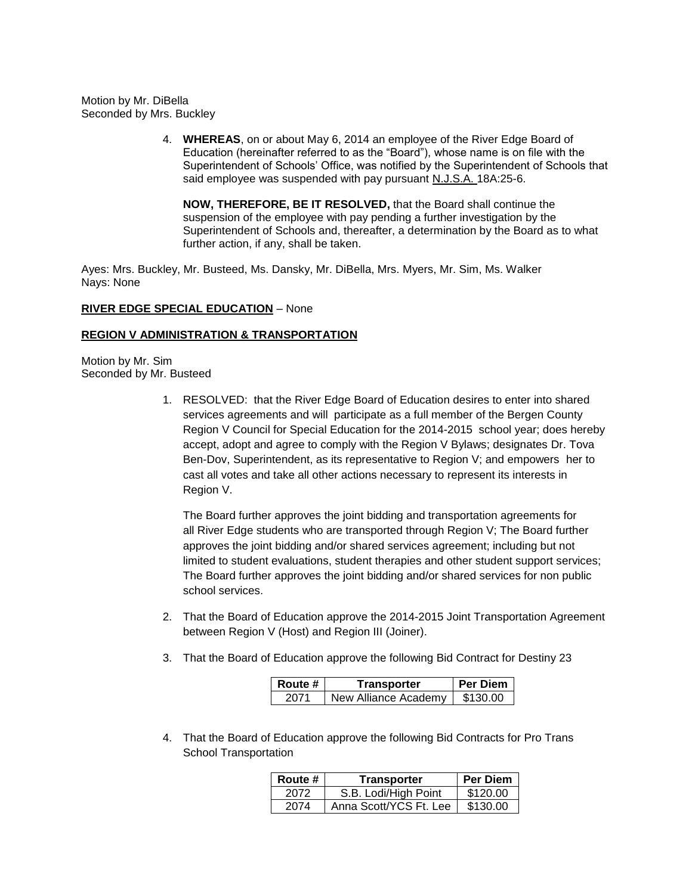Motion by Mr. DiBella Seconded by Mrs. Buckley

> 4. **WHEREAS**, on or about May 6, 2014 an employee of the River Edge Board of Education (hereinafter referred to as the "Board"), whose name is on file with the Superintendent of Schools' Office, was notified by the Superintendent of Schools that said employee was suspended with pay pursuant N.J.S.A. 18A:25-6.

**NOW, THEREFORE, BE IT RESOLVED,** that the Board shall continue the suspension of the employee with pay pending a further investigation by the Superintendent of Schools and, thereafter, a determination by the Board as to what further action, if any, shall be taken.

Ayes: Mrs. Buckley, Mr. Busteed, Ms. Dansky, Mr. DiBella, Mrs. Myers, Mr. Sim, Ms. Walker Nays: None

#### **RIVER EDGE SPECIAL EDUCATION** – None

# **REGION V ADMINISTRATION & TRANSPORTATION**

Motion by Mr. Sim Seconded by Mr. Busteed

> 1. RESOLVED: that the River Edge Board of Education desires to enter into shared services agreements and will participate as a full member of the Bergen County Region V Council for Special Education for the 2014-2015 school year; does hereby accept, adopt and agree to comply with the Region V Bylaws; designates Dr. Tova Ben-Dov, Superintendent, as its representative to Region V; and empowers her to cast all votes and take all other actions necessary to represent its interests in Region V.

The Board further approves the joint bidding and transportation agreements for all River Edge students who are transported through Region V; The Board further approves the joint bidding and/or shared services agreement; including but not limited to student evaluations, student therapies and other student support services; The Board further approves the joint bidding and/or shared services for non public school services.

- 2. That the Board of Education approve the 2014-2015 Joint Transportation Agreement between Region V (Host) and Region III (Joiner).
- 3. That the Board of Education approve the following Bid Contract for Destiny 23

| Route # | Transporter          | Per Diem I |
|---------|----------------------|------------|
| -2071   | New Alliance Academy | \$130.00   |

4. That the Board of Education approve the following Bid Contracts for Pro Trans School Transportation

| Route # | Transporter            | <b>Per Diem</b> |
|---------|------------------------|-----------------|
| 2072    | S.B. Lodi/High Point   | \$120.00        |
| 2074    | Anna Scott/YCS Ft. Lee | \$130.00        |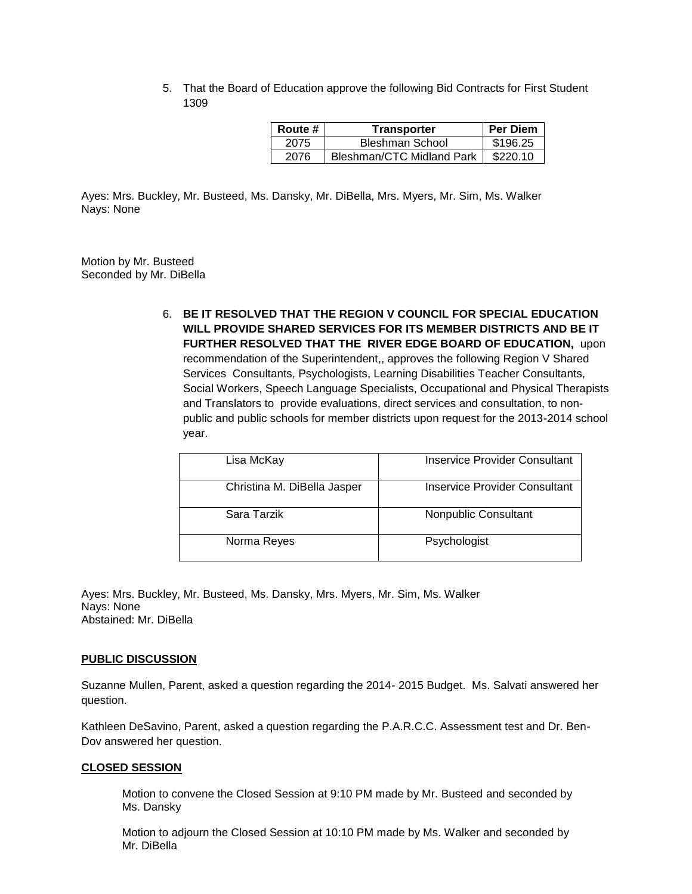5. That the Board of Education approve the following Bid Contracts for First Student 1309

| Route # | Transporter                      | <b>Per Diem</b> |
|---------|----------------------------------|-----------------|
| 2075    | Bleshman School                  | \$196.25        |
| 2076    | <b>Bleshman/CTC Midland Park</b> | \$220.10        |

Ayes: Mrs. Buckley, Mr. Busteed, Ms. Dansky, Mr. DiBella, Mrs. Myers, Mr. Sim, Ms. Walker Nays: None

Motion by Mr. Busteed Seconded by Mr. DiBella

> 6. **BE IT RESOLVED THAT THE REGION V COUNCIL FOR SPECIAL EDUCATION WILL PROVIDE SHARED SERVICES FOR ITS MEMBER DISTRICTS AND BE IT FURTHER RESOLVED THAT THE RIVER EDGE BOARD OF EDUCATION,** upon recommendation of the Superintendent,, approves the following Region V Shared Services Consultants, Psychologists, Learning Disabilities Teacher Consultants, Social Workers, Speech Language Specialists, Occupational and Physical Therapists and Translators to provide evaluations, direct services and consultation, to nonpublic and public schools for member districts upon request for the 2013-2014 school year.

| Lisa McKay                  | Inservice Provider Consultant |
|-----------------------------|-------------------------------|
| Christina M. DiBella Jasper | Inservice Provider Consultant |
| Sara Tarzik                 | Nonpublic Consultant          |
| Norma Reyes                 | Psychologist                  |

Ayes: Mrs. Buckley, Mr. Busteed, Ms. Dansky, Mrs. Myers, Mr. Sim, Ms. Walker Nays: None Abstained: Mr. DiBella

#### **PUBLIC DISCUSSION**

Suzanne Mullen, Parent, asked a question regarding the 2014- 2015 Budget. Ms. Salvati answered her question.

Kathleen DeSavino, Parent, asked a question regarding the P.A.R.C.C. Assessment test and Dr. Ben-Dov answered her question.

#### **CLOSED SESSION**

Motion to convene the Closed Session at 9:10 PM made by Mr. Busteed and seconded by Ms. Dansky

Motion to adjourn the Closed Session at 10:10 PM made by Ms. Walker and seconded by Mr. DiBella